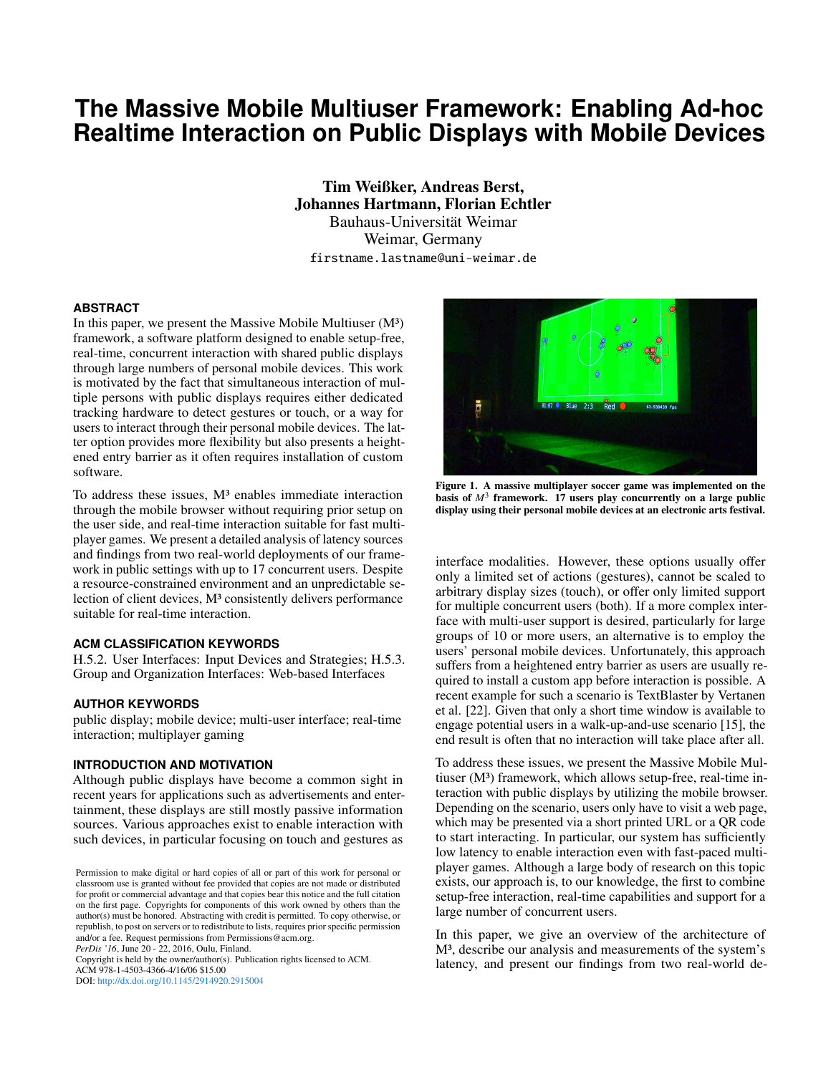# **The Massive Mobile Multiuser Framework: Enabling Ad-hoc Realtime Interaction on Public Displays with Mobile Devices**

Tim Weißker, Andreas Berst, Johannes Hartmann, Florian Echtler Bauhaus-Universität Weimar Weimar, Germany firstname.lastname@uni-weimar.de

#### **ABSTRACT**

In this paper, we present the Massive Mobile Multiuser  $(M<sup>3</sup>)$ framework, a software platform designed to enable setup-free, real-time, concurrent interaction with shared public displays through large numbers of personal mobile devices. This work is motivated by the fact that simultaneous interaction of multiple persons with public displays requires either dedicated tracking hardware to detect gestures or touch, or a way for users to interact through their personal mobile devices. The latter option provides more flexibility but also presents a heightened entry barrier as it often requires installation of custom software.

To address these issues, M<sup>3</sup> enables immediate interaction through the mobile browser without requiring prior setup on the user side, and real-time interaction suitable for fast multiplayer games. We present a detailed analysis of latency sources and findings from two real-world deployments of our framework in public settings with up to 17 concurrent users. Despite a resource-constrained environment and an unpredictable selection of client devices,  $M^3$  consistently delivers performance suitable for real-time interaction.

#### **ACM CLASSIFICATION KEYWORDS**

H.5.2. User Interfaces: Input Devices and Strategies; H.5.3. Group and Organization Interfaces: Web-based Interfaces

#### **AUTHOR KEYWORDS**

public display; mobile device; multi-user interface; real-time interaction; multiplayer gaming

#### **INTRODUCTION AND MOTIVATION**

Although public displays have become a common sight in recent years for applications such as advertisements and entertainment, these displays are still mostly passive information sources. Various approaches exist to enable interaction with such devices, in particular focusing on touch and gestures as

*PerDis '16*, June 20 - 22, 2016, Oulu, Finland.

Copyright is held by the owner/author(s). Publication rights licensed to ACM. ACM 978-1-4503-4366-4/16/06 \$15.00

DOI: <http://dx.doi.org/10.1145/2914920.2915004>

**Blue 2:3** Red 1 53.938439 fos

<span id="page-0-0"></span>Figure 1. A massive multiplayer soccer game was implemented on the basis of  $M<sup>3</sup>$  framework. 17 users play concurrently on a large public display using their personal mobile devices at an electronic arts festival.

interface modalities. However, these options usually offer only a limited set of actions (gestures), cannot be scaled to arbitrary display sizes (touch), or offer only limited support for multiple concurrent users (both). If a more complex interface with multi-user support is desired, particularly for large groups of 10 or more users, an alternative is to employ the users' personal mobile devices. Unfortunately, this approach suffers from a heightened entry barrier as users are usually required to install a custom app before interaction is possible. A recent example for such a scenario is TextBlaster by Vertanen et al. [\[22\]](#page-6-0). Given that only a short time window is available to engage potential users in a walk-up-and-use scenario [\[15\]](#page-5-0), the end result is often that no interaction will take place after all.

To address these issues, we present the Massive Mobile Multiuser (M<sup>3</sup>) framework, which allows setup-free, real-time interaction with public displays by utilizing the mobile browser. Depending on the scenario, users only have to visit a web page, which may be presented via a short printed URL or a QR code to start interacting. In particular, our system has sufficiently low latency to enable interaction even with fast-paced multiplayer games. Although a large body of research on this topic exists, our approach is, to our knowledge, the first to combine setup-free interaction, real-time capabilities and support for a large number of concurrent users.

In this paper, we give an overview of the architecture of M³, describe our analysis and measurements of the system's latency, and present our findings from two real-world de-

Permission to make digital or hard copies of all or part of this work for personal or classroom use is granted without fee provided that copies are not made or distributed for profit or commercial advantage and that copies bear this notice and the full citation on the first page. Copyrights for components of this work owned by others than the author(s) must be honored. Abstracting with credit is permitted. To copy otherwise, or republish, to post on servers or to redistribute to lists, requires prior specific permission and/or a fee. Request permissions from Permissions@acm.org.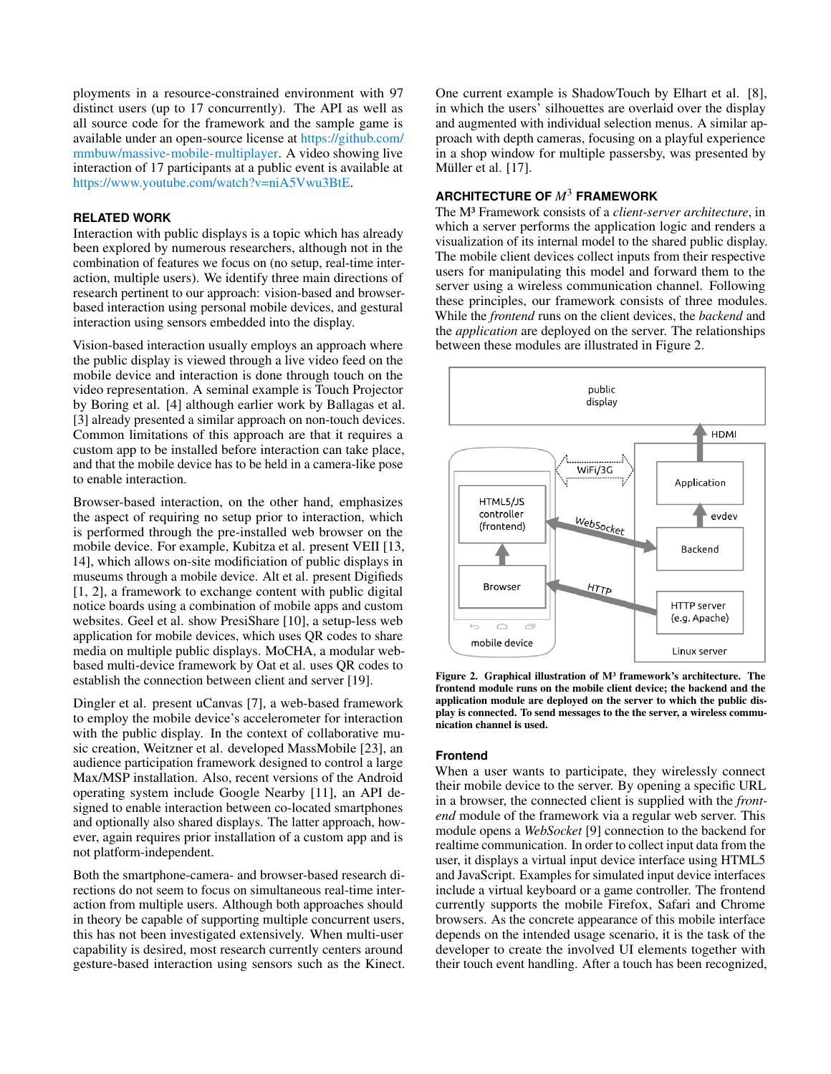ployments in a resource-constrained environment with 97 distinct users (up to 17 concurrently). The API as well as all source code for the framework and the sample game is available under an open-source license at [https://github.com/](https://github.com/mmbuw/massive-mobile-multiplayer) [mmbuw/massive-mobile-multiplayer.](https://github.com/mmbuw/massive-mobile-multiplayer) A video showing live interaction of 17 participants at a public event is available at [https://www.youtube.com/watch?v=niA5Vwu3BtE.](https://www.youtube.com/watch?v=niA5Vwu3BtE)

#### **RELATED WORK**

Interaction with public displays is a topic which has already been explored by numerous researchers, although not in the combination of features we focus on (no setup, real-time interaction, multiple users). We identify three main directions of research pertinent to our approach: vision-based and browserbased interaction using personal mobile devices, and gestural interaction using sensors embedded into the display.

Vision-based interaction usually employs an approach where the public display is viewed through a live video feed on the mobile device and interaction is done through touch on the video representation. A seminal example is Touch Projector by Boring et al. [\[4\]](#page-5-1) although earlier work by Ballagas et al. [\[3\]](#page-5-2) already presented a similar approach on non-touch devices. Common limitations of this approach are that it requires a custom app to be installed before interaction can take place, and that the mobile device has to be held in a camera-like pose to enable interaction.

Browser-based interaction, on the other hand, emphasizes the aspect of requiring no setup prior to interaction, which is performed through the pre-installed web browser on the mobile device. For example, Kubitza et al. present VEII [\[13,](#page-5-3) [14\]](#page-5-4), which allows on-site modificiation of public displays in museums through a mobile device. Alt et al. present Digifieds [\[1,](#page-5-5) [2\]](#page-5-6), a framework to exchange content with public digital notice boards using a combination of mobile apps and custom websites. Geel et al. show PresiShare [\[10\]](#page-5-7), a setup-less web application for mobile devices, which uses QR codes to share media on multiple public displays. MoCHA, a modular webbased multi-device framework by Oat et al. uses QR codes to establish the connection between client and server [\[19\]](#page-6-1).

Dingler et al. present uCanvas [\[7\]](#page-5-8), a web-based framework to employ the mobile device's accelerometer for interaction with the public display. In the context of collaborative music creation, Weitzner et al. developed MassMobile [\[23\]](#page-6-2), an audience participation framework designed to control a large Max/MSP installation. Also, recent versions of the Android operating system include Google Nearby [\[11\]](#page-5-9), an API designed to enable interaction between co-located smartphones and optionally also shared displays. The latter approach, however, again requires prior installation of a custom app and is not platform-independent.

Both the smartphone-camera- and browser-based research directions do not seem to focus on simultaneous real-time interaction from multiple users. Although both approaches should in theory be capable of supporting multiple concurrent users, this has not been investigated extensively. When multi-user capability is desired, most research currently centers around gesture-based interaction using sensors such as the Kinect. One current example is ShadowTouch by Elhart et al. [\[8\]](#page-5-10), in which the users' silhouettes are overlaid over the display and augmented with individual selection menus. A similar approach with depth cameras, focusing on a playful experience in a shop window for multiple passersby, was presented by Müller et al. [[17\]](#page-6-3).

# **ARCHITECTURE OF** *M*<sup>3</sup> **FRAMEWORK**

The M³ Framework consists of a *client-server architecture*, in which a server performs the application logic and renders a visualization of its internal model to the shared public display. The mobile client devices collect inputs from their respective users for manipulating this model and forward them to the server using a wireless communication channel. Following these principles, our framework consists of three modules. While the *frontend* runs on the client devices, the *backend* and the *application* are deployed on the server. The relationships between these modules are illustrated in Figure [2.](#page-1-0)



<span id="page-1-0"></span>Figure 2. Graphical illustration of  $M<sup>3</sup>$  framework's architecture. The frontend module runs on the mobile client device; the backend and the application module are deployed on the server to which the public display is connected. To send messages to the the server, a wireless communication channel is used.

#### **Frontend**

When a user wants to participate, they wirelessly connect their mobile device to the server. By opening a specific URL in a browser, the connected client is supplied with the *frontend* module of the framework via a regular web server. This module opens a *WebSocket* [\[9\]](#page-5-11) connection to the backend for realtime communication. In order to collect input data from the user, it displays a virtual input device interface using HTML5 and JavaScript. Examples for simulated input device interfaces include a virtual keyboard or a game controller. The frontend currently supports the mobile Firefox, Safari and Chrome browsers. As the concrete appearance of this mobile interface depends on the intended usage scenario, it is the task of the developer to create the involved UI elements together with their touch event handling. After a touch has been recognized,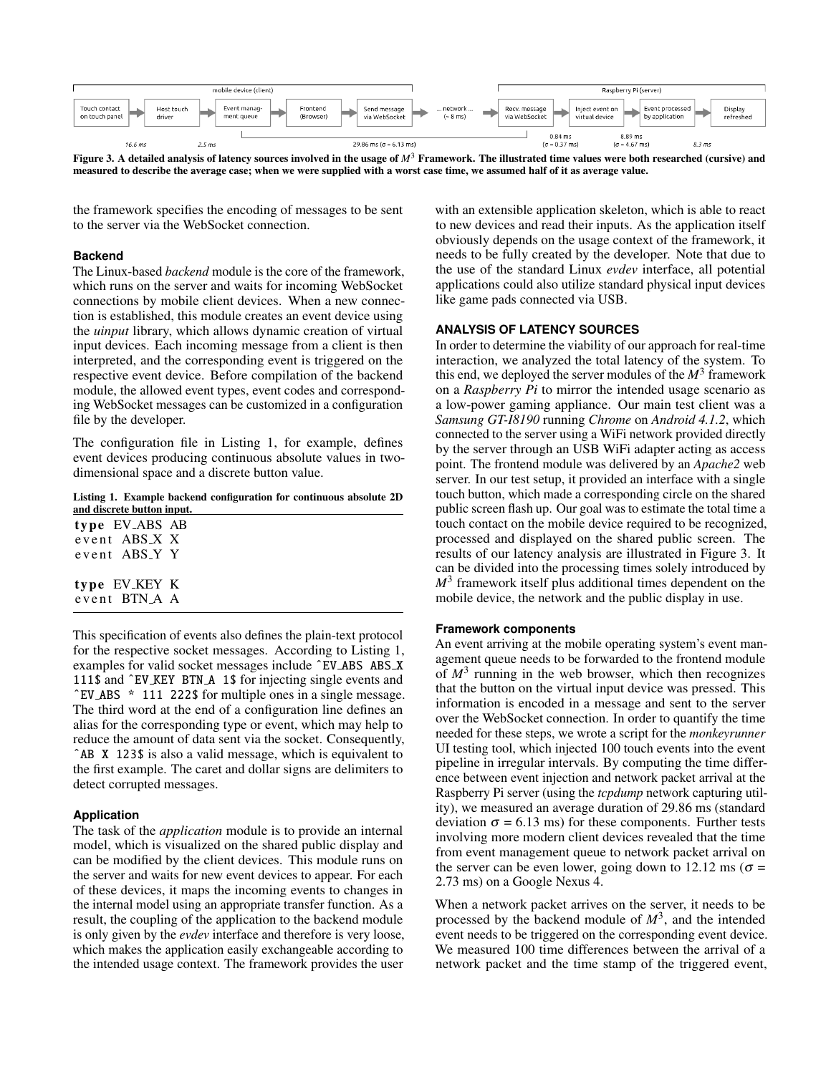

<span id="page-2-1"></span>Figure 3. A detailed analysis of latency sources involved in the usage of  $M<sup>3</sup>$  Framework. The illustrated time values were both researched (cursive) and measured to describe the average case; when we were supplied with a worst case time, we assumed half of it as average value.

the framework specifies the encoding of messages to be sent to the server via the WebSocket connection.

#### **Backend**

The Linux-based *backend* module is the core of the framework, which runs on the server and waits for incoming WebSocket connections by mobile client devices. When a new connection is established, this module creates an event device using the *uinput* library, which allows dynamic creation of virtual input devices. Each incoming message from a client is then interpreted, and the corresponding event is triggered on the respective event device. Before compilation of the backend module, the allowed event types, event codes and corresponding WebSocket messages can be customized in a configuration file by the developer.

The configuration file in Listing [1,](#page-2-0) for example, defines event devices producing continuous absolute values in twodimensional space and a discrete button value.

<span id="page-2-0"></span>Listing 1. Example backend configuration for continuous absolute 2D and discrete button input.

| type EV_ABS AB |  |
|----------------|--|
| event ABS X X  |  |
| event ABS Y Y  |  |
|                |  |
| type EV_KEY K  |  |
| event BTN A A  |  |

This specification of events also defines the plain-text protocol for the respective socket messages. According to Listing [1,](#page-2-0) examples for valid socket messages include ˆEV ABS ABS X 111\$ and ˆEV KEY BTN A 1\$ for injecting single events and ˆEV ABS \* 111 222\$ for multiple ones in a single message. The third word at the end of a configuration line defines an alias for the corresponding type or event, which may help to reduce the amount of data sent via the socket. Consequently, ˆAB X 123\$ is also a valid message, which is equivalent to the first example. The caret and dollar signs are delimiters to detect corrupted messages.

#### **Application**

The task of the *application* module is to provide an internal model, which is visualized on the shared public display and can be modified by the client devices. This module runs on the server and waits for new event devices to appear. For each of these devices, it maps the incoming events to changes in the internal model using an appropriate transfer function. As a result, the coupling of the application to the backend module is only given by the *evdev* interface and therefore is very loose, which makes the application easily exchangeable according to the intended usage context. The framework provides the user

with an extensible application skeleton, which is able to react to new devices and read their inputs. As the application itself obviously depends on the usage context of the framework, it needs to be fully created by the developer. Note that due to the use of the standard Linux *evdev* interface, all potential applications could also utilize standard physical input devices like game pads connected via USB.

#### **ANALYSIS OF LATENCY SOURCES**

In order to determine the viability of our approach for real-time interaction, we analyzed the total latency of the system. To this end, we deployed the server modules of the  $M<sup>3</sup>$  framework on a *Raspberry Pi* to mirror the intended usage scenario as a low-power gaming appliance. Our main test client was a *Samsung GT-I8190* running *Chrome* on *Android 4.1.2*, which connected to the server using a WiFi network provided directly by the server through an USB WiFi adapter acting as access point. The frontend module was delivered by an *Apache2* web server. In our test setup, it provided an interface with a single touch button, which made a corresponding circle on the shared public screen flash up. Our goal was to estimate the total time a touch contact on the mobile device required to be recognized, processed and displayed on the shared public screen. The results of our latency analysis are illustrated in Figure [3.](#page-2-1) It can be divided into the processing times solely introduced by  $M<sup>3</sup>$  framework itself plus additional times dependent on the mobile device, the network and the public display in use.

#### **Framework components**

An event arriving at the mobile operating system's event management queue needs to be forwarded to the frontend module of  $M<sup>3</sup>$  running in the web browser, which then recognizes that the button on the virtual input device was pressed. This information is encoded in a message and sent to the server over the WebSocket connection. In order to quantify the time needed for these steps, we wrote a script for the *monkeyrunner* UI testing tool, which injected 100 touch events into the event pipeline in irregular intervals. By computing the time difference between event injection and network packet arrival at the Raspberry Pi server (using the *tcpdump* network capturing utility), we measured an average duration of 29.86 ms (standard deviation  $\sigma$  = 6.13 ms) for these components. Further tests involving more modern client devices revealed that the time from event management queue to network packet arrival on the server can be even lower, going down to 12.12 ms ( $\sigma$  = 2.73 ms) on a Google Nexus 4.

When a network packet arrives on the server, it needs to be processed by the backend module of  $M^3$ , and the intended event needs to be triggered on the corresponding event device. We measured 100 time differences between the arrival of a network packet and the time stamp of the triggered event,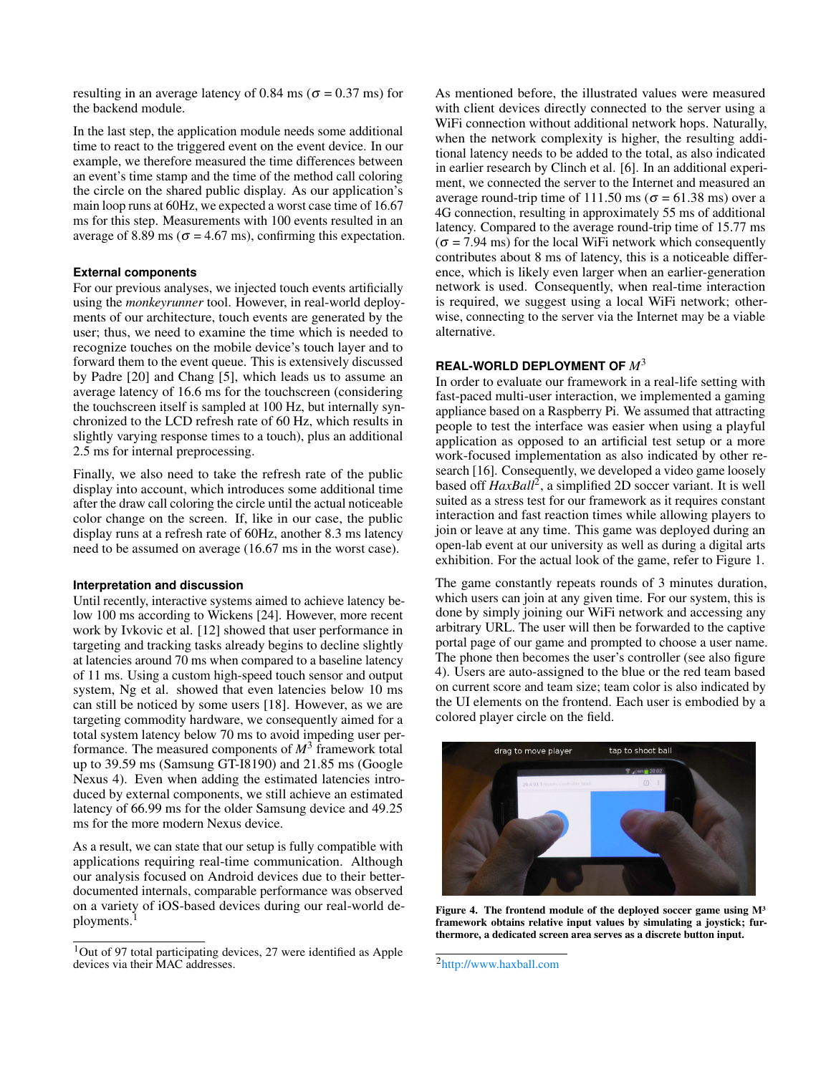resulting in an average latency of 0.84 ms ( $\sigma$  = 0.37 ms) for the backend module.

In the last step, the application module needs some additional time to react to the triggered event on the event device. In our example, we therefore measured the time differences between an event's time stamp and the time of the method call coloring the circle on the shared public display. As our application's main loop runs at 60Hz, we expected a worst case time of 16.67 ms for this step. Measurements with 100 events resulted in an average of 8.89 ms ( $\sigma$  = 4.67 ms), confirming this expectation.

## **External components**

For our previous analyses, we injected touch events artificially using the *monkeyrunner* tool. However, in real-world deployments of our architecture, touch events are generated by the user; thus, we need to examine the time which is needed to recognize touches on the mobile device's touch layer and to forward them to the event queue. This is extensively discussed by Padre [\[20\]](#page-6-4) and Chang [\[5\]](#page-5-12), which leads us to assume an average latency of 16.6 ms for the touchscreen (considering the touchscreen itself is sampled at 100 Hz, but internally synchronized to the LCD refresh rate of 60 Hz, which results in slightly varying response times to a touch), plus an additional 2.5 ms for internal preprocessing.

Finally, we also need to take the refresh rate of the public display into account, which introduces some additional time after the draw call coloring the circle until the actual noticeable color change on the screen. If, like in our case, the public display runs at a refresh rate of 60Hz, another 8.3 ms latency need to be assumed on average (16.67 ms in the worst case).

## **Interpretation and discussion**

Until recently, interactive systems aimed to achieve latency below 100 ms according to Wickens [\[24\]](#page-6-5). However, more recent work by Ivkovic et al. [\[12\]](#page-5-13) showed that user performance in targeting and tracking tasks already begins to decline slightly at latencies around 70 ms when compared to a baseline latency of 11 ms. Using a custom high-speed touch sensor and output system, Ng et al. showed that even latencies below 10 ms can still be noticed by some users [\[18\]](#page-6-6). However, as we are targeting commodity hardware, we consequently aimed for a total system latency below 70 ms to avoid impeding user performance. The measured components of  $M^3$  framework total up to 39.59 ms (Samsung GT-I8190) and 21.85 ms (Google Nexus 4). Even when adding the estimated latencies introduced by external components, we still achieve an estimated latency of 66.99 ms for the older Samsung device and 49.25 ms for the more modern Nexus device.

As a result, we can state that our setup is fully compatible with applications requiring real-time communication. Although our analysis focused on Android devices due to their betterdocumented internals, comparable performance was observed on a variety of iOS-based devices during our real-world de-ployments.<sup>[1](#page-3-0)</sup>

As mentioned before, the illustrated values were measured with client devices directly connected to the server using a WiFi connection without additional network hops. Naturally, when the network complexity is higher, the resulting additional latency needs to be added to the total, as also indicated in earlier research by Clinch et al. [\[6\]](#page-5-14). In an additional experiment, we connected the server to the Internet and measured an average round-trip time of 111.50 ms ( $\sigma$  = 61.38 ms) over a 4G connection, resulting in approximately 55 ms of additional latency. Compared to the average round-trip time of 15.77 ms  $(\sigma = 7.94 \text{ ms})$  for the local WiFi network which consequently contributes about 8 ms of latency, this is a noticeable difference, which is likely even larger when an earlier-generation network is used. Consequently, when real-time interaction is required, we suggest using a local WiFi network; otherwise, connecting to the server via the Internet may be a viable alternative.

# **REAL-WORLD DEPLOYMENT OF** *M*<sup>3</sup>

In order to evaluate our framework in a real-life setting with fast-paced multi-user interaction, we implemented a gaming appliance based on a Raspberry Pi. We assumed that attracting people to test the interface was easier when using a playful application as opposed to an artificial test setup or a more work-focused implementation as also indicated by other research [\[16\]](#page-5-15). Consequently, we developed a video game loosely based off *HaxBall*<sup>[2](#page-3-1)</sup>, a simplified 2D soccer variant. It is well suited as a stress test for our framework as it requires constant interaction and fast reaction times while allowing players to join or leave at any time. This game was deployed during an open-lab event at our university as well as during a digital arts exhibition. For the actual look of the game, refer to Figure [1.](#page-0-0)

The game constantly repeats rounds of 3 minutes duration, which users can join at any given time. For our system, this is done by simply joining our WiFi network and accessing any arbitrary URL. The user will then be forwarded to the captive portal page of our game and prompted to choose a user name. The phone then becomes the user's controller (see also figure [4\)](#page-3-2). Users are auto-assigned to the blue or the red team based on current score and team size; team color is also indicated by the UI elements on the frontend. Each user is embodied by a colored player circle on the field.



Figure 4. The frontend module of the deployed soccer game using  $M<sup>3</sup>$ framework obtains relative input values by simulating a joystick; furthermore, a dedicated screen area serves as a discrete button input.

<span id="page-3-0"></span> $1$ Out of 97 total participating devices, 27 were identified as Apple devices via their MAC addresses.

<span id="page-3-2"></span><span id="page-3-1"></span><sup>2</sup><http://www.haxball.com>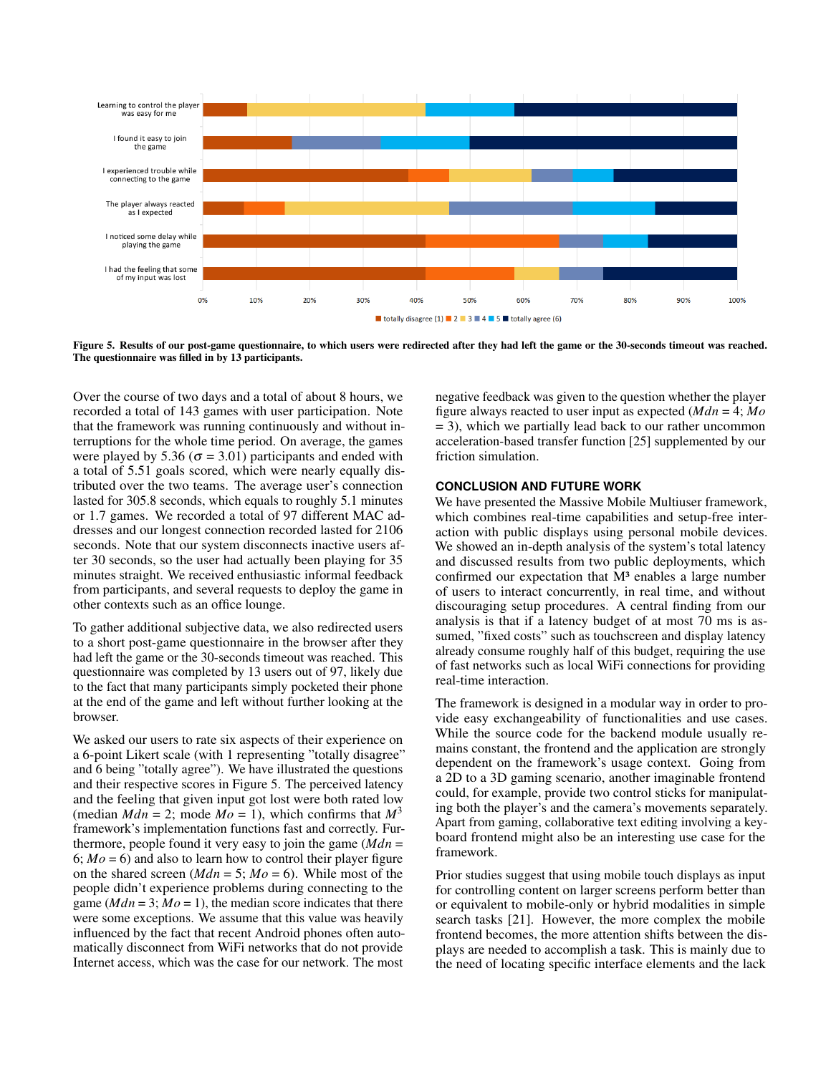

<span id="page-4-0"></span>Figure 5. Results of our post-game questionnaire, to which users were redirected after they had left the game or the 30-seconds timeout was reached. The questionnaire was filled in by 13 participants.

Over the course of two days and a total of about 8 hours, we recorded a total of 143 games with user participation. Note that the framework was running continuously and without interruptions for the whole time period. On average, the games were played by 5.36 ( $\sigma$  = 3.01) participants and ended with a total of 5.51 goals scored, which were nearly equally distributed over the two teams. The average user's connection lasted for 305.8 seconds, which equals to roughly 5.1 minutes or 1.7 games. We recorded a total of 97 different MAC addresses and our longest connection recorded lasted for 2106 seconds. Note that our system disconnects inactive users after 30 seconds, so the user had actually been playing for 35 minutes straight. We received enthusiastic informal feedback from participants, and several requests to deploy the game in other contexts such as an office lounge.

To gather additional subjective data, we also redirected users to a short post-game questionnaire in the browser after they had left the game or the 30-seconds timeout was reached. This questionnaire was completed by 13 users out of 97, likely due to the fact that many participants simply pocketed their phone at the end of the game and left without further looking at the browser.

We asked our users to rate six aspects of their experience on a 6-point Likert scale (with 1 representing "totally disagree" and 6 being "totally agree"). We have illustrated the questions and their respective scores in Figure [5.](#page-4-0) The perceived latency and the feeling that given input got lost were both rated low (median  $Mdn = 2$ ; mode  $Mo = 1$ ), which confirms that  $M<sup>3</sup>$ framework's implementation functions fast and correctly. Furthermore, people found it very easy to join the game (*Mdn* = 6;  $Mo = 6$ ) and also to learn how to control their player figure on the shared screen  $(Mdn = 5; Mo = 6)$ . While most of the people didn't experience problems during connecting to the game  $(Mdn = 3; Mo = 1)$ , the median score indicates that there were some exceptions. We assume that this value was heavily influenced by the fact that recent Android phones often automatically disconnect from WiFi networks that do not provide Internet access, which was the case for our network. The most

negative feedback was given to the question whether the player figure always reacted to user input as expected (*Mdn* = 4; *Mo* = 3), which we partially lead back to our rather uncommon acceleration-based transfer function [\[25\]](#page-6-7) supplemented by our friction simulation.

#### **CONCLUSION AND FUTURE WORK**

We have presented the Massive Mobile Multiuser framework, which combines real-time capabilities and setup-free interaction with public displays using personal mobile devices. We showed an in-depth analysis of the system's total latency and discussed results from two public deployments, which confirmed our expectation that  $M<sup>3</sup>$  enables a large number of users to interact concurrently, in real time, and without discouraging setup procedures. A central finding from our analysis is that if a latency budget of at most 70 ms is assumed, "fixed costs" such as touchscreen and display latency already consume roughly half of this budget, requiring the use of fast networks such as local WiFi connections for providing real-time interaction.

The framework is designed in a modular way in order to provide easy exchangeability of functionalities and use cases. While the source code for the backend module usually remains constant, the frontend and the application are strongly dependent on the framework's usage context. Going from a 2D to a 3D gaming scenario, another imaginable frontend could, for example, provide two control sticks for manipulating both the player's and the camera's movements separately. Apart from gaming, collaborative text editing involving a keyboard frontend might also be an interesting use case for the framework.

Prior studies suggest that using mobile touch displays as input for controlling content on larger screens perform better than or equivalent to mobile-only or hybrid modalities in simple search tasks [\[21\]](#page-6-8). However, the more complex the mobile frontend becomes, the more attention shifts between the displays are needed to accomplish a task. This is mainly due to the need of locating specific interface elements and the lack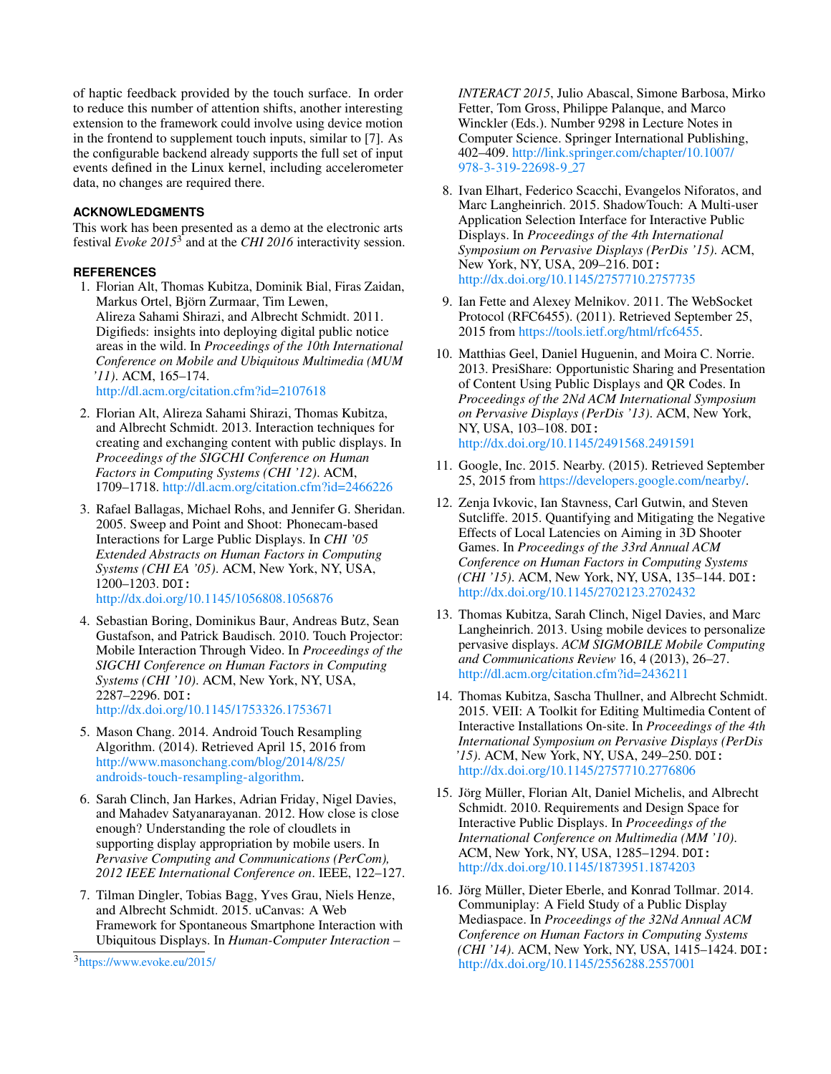of haptic feedback provided by the touch surface. In order to reduce this number of attention shifts, another interesting extension to the framework could involve using device motion in the frontend to supplement touch inputs, similar to [\[7\]](#page-5-8). As the configurable backend already supports the full set of input events defined in the Linux kernel, including accelerometer data, no changes are required there.

# **ACKNOWLEDGMENTS**

This work has been presented as a demo at the electronic arts festival *Evoke 2015*[3](#page-5-16) and at the *CHI 2016* interactivity session.

## <span id="page-5-5"></span>**REFERENCES**

1. Florian Alt, Thomas Kubitza, Dominik Bial, Firas Zaidan, Markus Ortel, Björn Zurmaar, Tim Lewen, Alireza Sahami Shirazi, and Albrecht Schmidt. 2011. Digifieds: insights into deploying digital public notice areas in the wild. In *Proceedings of the 10th International Conference on Mobile and Ubiquitous Multimedia (MUM '11)*. ACM, 165–174.

<http://dl.acm.org/citation.cfm?id=2107618>

- <span id="page-5-6"></span>2. Florian Alt, Alireza Sahami Shirazi, Thomas Kubitza, and Albrecht Schmidt. 2013. Interaction techniques for creating and exchanging content with public displays. In *Proceedings of the SIGCHI Conference on Human Factors in Computing Systems (CHI '12)*. ACM, 1709–1718. <http://dl.acm.org/citation.cfm?id=2466226>
- <span id="page-5-2"></span>3. Rafael Ballagas, Michael Rohs, and Jennifer G. Sheridan. 2005. Sweep and Point and Shoot: Phonecam-based Interactions for Large Public Displays. In *CHI '05 Extended Abstracts on Human Factors in Computing Systems (CHI EA '05)*. ACM, New York, NY, USA, 1200–1203. DOI: <http://dx.doi.org/10.1145/1056808.1056876>
- <span id="page-5-1"></span>4. Sebastian Boring, Dominikus Baur, Andreas Butz, Sean Gustafson, and Patrick Baudisch. 2010. Touch Projector: Mobile Interaction Through Video. In *Proceedings of the SIGCHI Conference on Human Factors in Computing Systems (CHI '10)*. ACM, New York, NY, USA, 2287–2296. DOI:

<http://dx.doi.org/10.1145/1753326.1753671>

- <span id="page-5-12"></span>5. Mason Chang. 2014. Android Touch Resampling Algorithm. (2014). Retrieved April 15, 2016 from [http://www.masonchang.com/blog/2014/8/25/](http://www.masonchang.com/blog/2014/8/25/androids-touch-resampling-algorithm) [androids-touch-resampling-algorithm.](http://www.masonchang.com/blog/2014/8/25/androids-touch-resampling-algorithm)
- <span id="page-5-14"></span>6. Sarah Clinch, Jan Harkes, Adrian Friday, Nigel Davies, and Mahadev Satyanarayanan. 2012. How close is close enough? Understanding the role of cloudlets in supporting display appropriation by mobile users. In *Pervasive Computing and Communications (PerCom), 2012 IEEE International Conference on*. IEEE, 122–127.
- <span id="page-5-8"></span>7. Tilman Dingler, Tobias Bagg, Yves Grau, Niels Henze, and Albrecht Schmidt. 2015. uCanvas: A Web Framework for Spontaneous Smartphone Interaction with Ubiquitous Displays. In *Human-Computer Interaction –*

*INTERACT 2015*, Julio Abascal, Simone Barbosa, Mirko Fetter, Tom Gross, Philippe Palanque, and Marco Winckler (Eds.). Number 9298 in Lecture Notes in Computer Science. Springer International Publishing, 402–409. [http://link.springer.com/chapter/10.1007/](http://link.springer.com/chapter/10.1007/978-3-319-22698-9_27) [978-3-319-22698-9](http://link.springer.com/chapter/10.1007/978-3-319-22698-9_27) 27

- <span id="page-5-10"></span>8. Ivan Elhart, Federico Scacchi, Evangelos Niforatos, and Marc Langheinrich. 2015. ShadowTouch: A Multi-user Application Selection Interface for Interactive Public Displays. In *Proceedings of the 4th International Symposium on Pervasive Displays (PerDis '15)*. ACM, New York, NY, USA, 209–216. DOI: <http://dx.doi.org/10.1145/2757710.2757735>
- <span id="page-5-11"></span>9. Ian Fette and Alexey Melnikov. 2011. The WebSocket Protocol (RFC6455). (2011). Retrieved September 25, 2015 from [https://tools.ietf.org/html/rfc6455.](https://tools.ietf.org/html/rfc6455)
- <span id="page-5-7"></span>10. Matthias Geel, Daniel Huguenin, and Moira C. Norrie. 2013. PresiShare: Opportunistic Sharing and Presentation of Content Using Public Displays and QR Codes. In *Proceedings of the 2Nd ACM International Symposium on Pervasive Displays (PerDis '13)*. ACM, New York, NY, USA, 103–108. DOI: <http://dx.doi.org/10.1145/2491568.2491591>
- <span id="page-5-9"></span>11. Google, Inc. 2015. Nearby. (2015). Retrieved September 25, 2015 from [https://developers.google.com/nearby/.](https://developers.google.com/nearby/)
- <span id="page-5-13"></span>12. Zenja Ivkovic, Ian Stavness, Carl Gutwin, and Steven Sutcliffe. 2015. Quantifying and Mitigating the Negative Effects of Local Latencies on Aiming in 3D Shooter Games. In *Proceedings of the 33rd Annual ACM Conference on Human Factors in Computing Systems (CHI '15)*. ACM, New York, NY, USA, 135–144. DOI: <http://dx.doi.org/10.1145/2702123.2702432>
- <span id="page-5-3"></span>13. Thomas Kubitza, Sarah Clinch, Nigel Davies, and Marc Langheinrich. 2013. Using mobile devices to personalize pervasive displays. *ACM SIGMOBILE Mobile Computing and Communications Review* 16, 4 (2013), 26–27. <http://dl.acm.org/citation.cfm?id=2436211>
- <span id="page-5-4"></span>14. Thomas Kubitza, Sascha Thullner, and Albrecht Schmidt. 2015. VEII: A Toolkit for Editing Multimedia Content of Interactive Installations On-site. In *Proceedings of the 4th International Symposium on Pervasive Displays (PerDis '15)*. ACM, New York, NY, USA, 249–250. DOI: <http://dx.doi.org/10.1145/2757710.2776806>
- <span id="page-5-0"></span>15. Jörg Müller, Florian Alt, Daniel Michelis, and Albrecht Schmidt. 2010. Requirements and Design Space for Interactive Public Displays. In *Proceedings of the International Conference on Multimedia (MM '10)*. ACM, New York, NY, USA, 1285–1294. DOI: <http://dx.doi.org/10.1145/1873951.1874203>
- <span id="page-5-15"></span>16. Jörg Müller, Dieter Eberle, and Konrad Tollmar. 2014. Communiplay: A Field Study of a Public Display Mediaspace. In *Proceedings of the 32Nd Annual ACM Conference on Human Factors in Computing Systems (CHI '14)*. ACM, New York, NY, USA, 1415–1424. DOI: <http://dx.doi.org/10.1145/2556288.2557001>

<span id="page-5-16"></span><sup>3</sup><https://www.evoke.eu/2015/>